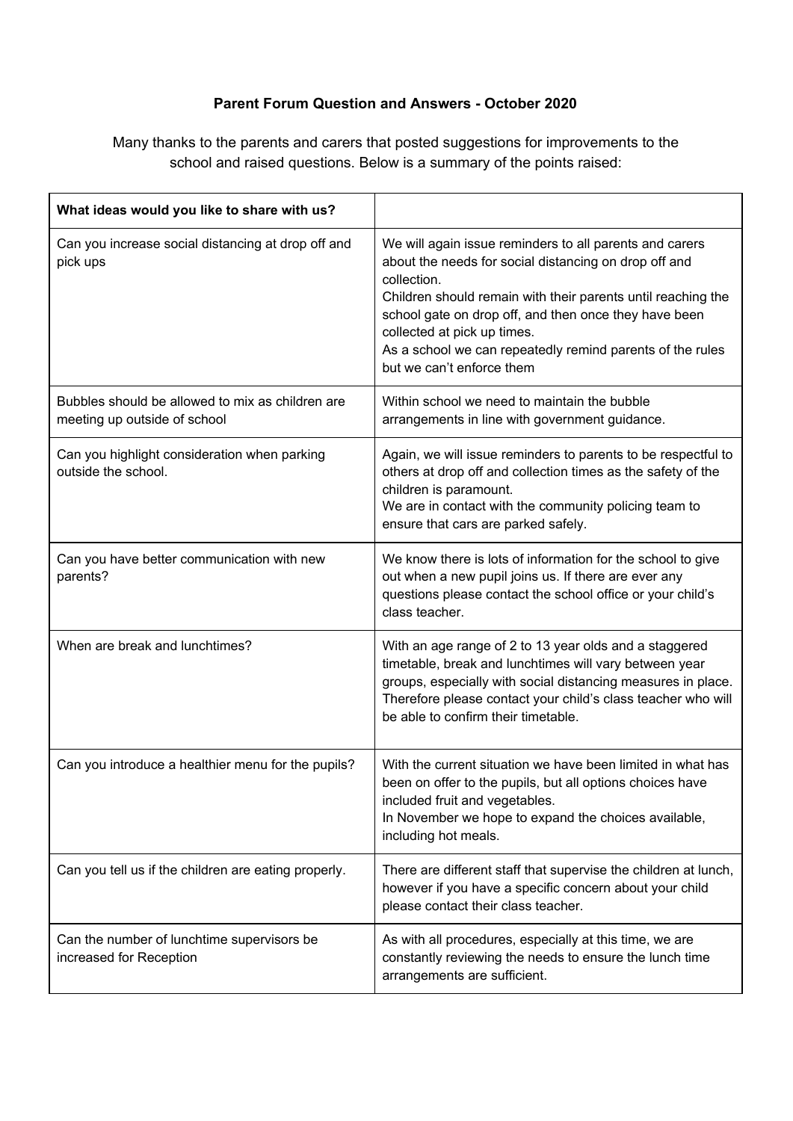## **Parent Forum Question and Answers - October 2020**

Many thanks to the parents and carers that posted suggestions for improvements to the school and raised questions. Below is a summary of the points raised:

| What ideas would you like to share with us?                                      |                                                                                                                                                                                                                                                                                                                                                                                   |
|----------------------------------------------------------------------------------|-----------------------------------------------------------------------------------------------------------------------------------------------------------------------------------------------------------------------------------------------------------------------------------------------------------------------------------------------------------------------------------|
| Can you increase social distancing at drop off and<br>pick ups                   | We will again issue reminders to all parents and carers<br>about the needs for social distancing on drop off and<br>collection.<br>Children should remain with their parents until reaching the<br>school gate on drop off, and then once they have been<br>collected at pick up times.<br>As a school we can repeatedly remind parents of the rules<br>but we can't enforce them |
| Bubbles should be allowed to mix as children are<br>meeting up outside of school | Within school we need to maintain the bubble<br>arrangements in line with government guidance.                                                                                                                                                                                                                                                                                    |
| Can you highlight consideration when parking<br>outside the school.              | Again, we will issue reminders to parents to be respectful to<br>others at drop off and collection times as the safety of the<br>children is paramount.<br>We are in contact with the community policing team to<br>ensure that cars are parked safely.                                                                                                                           |
| Can you have better communication with new<br>parents?                           | We know there is lots of information for the school to give<br>out when a new pupil joins us. If there are ever any<br>questions please contact the school office or your child's<br>class teacher.                                                                                                                                                                               |
| When are break and lunchtimes?                                                   | With an age range of 2 to 13 year olds and a staggered<br>timetable, break and lunchtimes will vary between year<br>groups, especially with social distancing measures in place.<br>Therefore please contact your child's class teacher who will<br>be able to confirm their timetable.                                                                                           |
| Can you introduce a healthier menu for the pupils?                               | With the current situation we have been limited in what has<br>been on offer to the pupils, but all options choices have<br>included fruit and vegetables.<br>In November we hope to expand the choices available,<br>including hot meals.                                                                                                                                        |
| Can you tell us if the children are eating properly.                             | There are different staff that supervise the children at lunch,<br>however if you have a specific concern about your child<br>please contact their class teacher.                                                                                                                                                                                                                 |
| Can the number of lunchtime supervisors be<br>increased for Reception            | As with all procedures, especially at this time, we are<br>constantly reviewing the needs to ensure the lunch time<br>arrangements are sufficient.                                                                                                                                                                                                                                |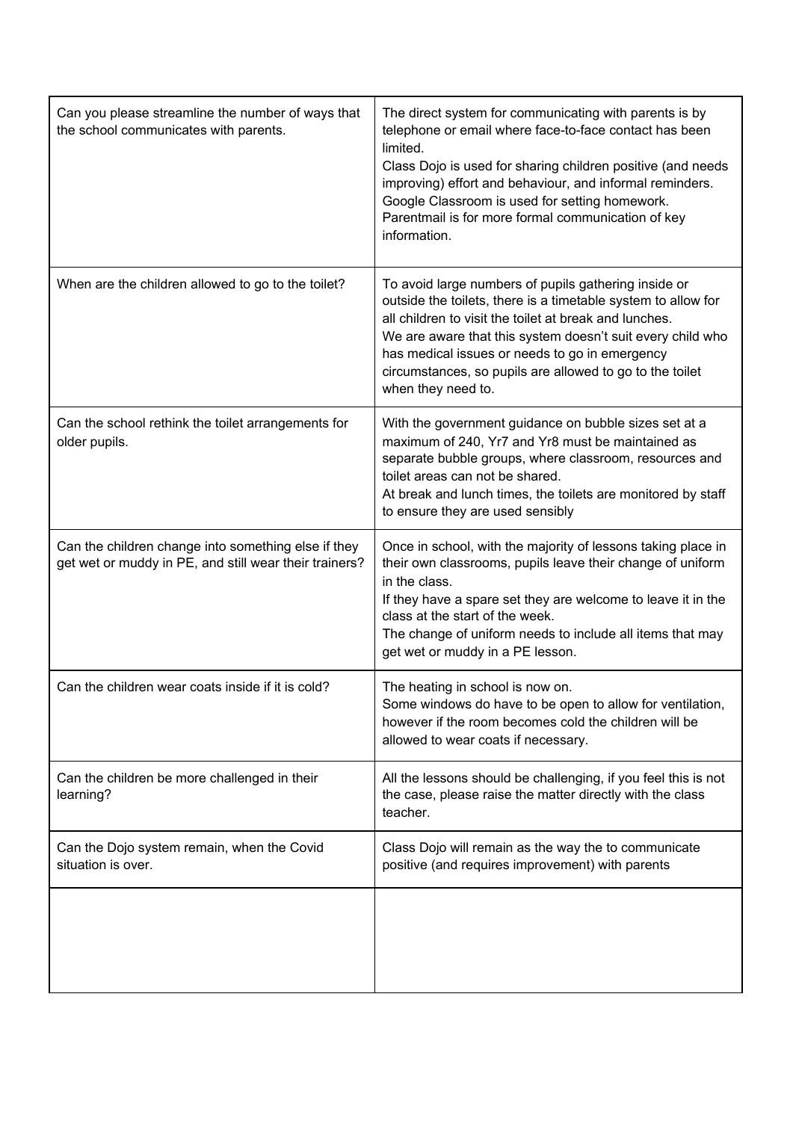| Can you please streamline the number of ways that<br>the school communicates with parents.                    | The direct system for communicating with parents is by<br>telephone or email where face-to-face contact has been<br>limited.<br>Class Dojo is used for sharing children positive (and needs<br>improving) effort and behaviour, and informal reminders.<br>Google Classroom is used for setting homework.<br>Parentmail is for more formal communication of key<br>information.   |
|---------------------------------------------------------------------------------------------------------------|-----------------------------------------------------------------------------------------------------------------------------------------------------------------------------------------------------------------------------------------------------------------------------------------------------------------------------------------------------------------------------------|
| When are the children allowed to go to the toilet?                                                            | To avoid large numbers of pupils gathering inside or<br>outside the toilets, there is a timetable system to allow for<br>all children to visit the toilet at break and lunches.<br>We are aware that this system doesn't suit every child who<br>has medical issues or needs to go in emergency<br>circumstances, so pupils are allowed to go to the toilet<br>when they need to. |
| Can the school rethink the toilet arrangements for<br>older pupils.                                           | With the government guidance on bubble sizes set at a<br>maximum of 240, Yr7 and Yr8 must be maintained as<br>separate bubble groups, where classroom, resources and<br>toilet areas can not be shared.<br>At break and lunch times, the toilets are monitored by staff<br>to ensure they are used sensibly                                                                       |
| Can the children change into something else if they<br>get wet or muddy in PE, and still wear their trainers? | Once in school, with the majority of lessons taking place in<br>their own classrooms, pupils leave their change of uniform<br>in the class.<br>If they have a spare set they are welcome to leave it in the<br>class at the start of the week.<br>The change of uniform needs to include all items that may<br>get wet or muddy in a PE lesson.                                   |
| Can the children wear coats inside if it is cold?                                                             | The heating in school is now on.<br>Some windows do have to be open to allow for ventilation,<br>however if the room becomes cold the children will be<br>allowed to wear coats if necessary.                                                                                                                                                                                     |
| Can the children be more challenged in their<br>learning?                                                     | All the lessons should be challenging, if you feel this is not<br>the case, please raise the matter directly with the class<br>teacher.                                                                                                                                                                                                                                           |
| Can the Dojo system remain, when the Covid<br>situation is over.                                              | Class Dojo will remain as the way the to communicate<br>positive (and requires improvement) with parents                                                                                                                                                                                                                                                                          |
|                                                                                                               |                                                                                                                                                                                                                                                                                                                                                                                   |